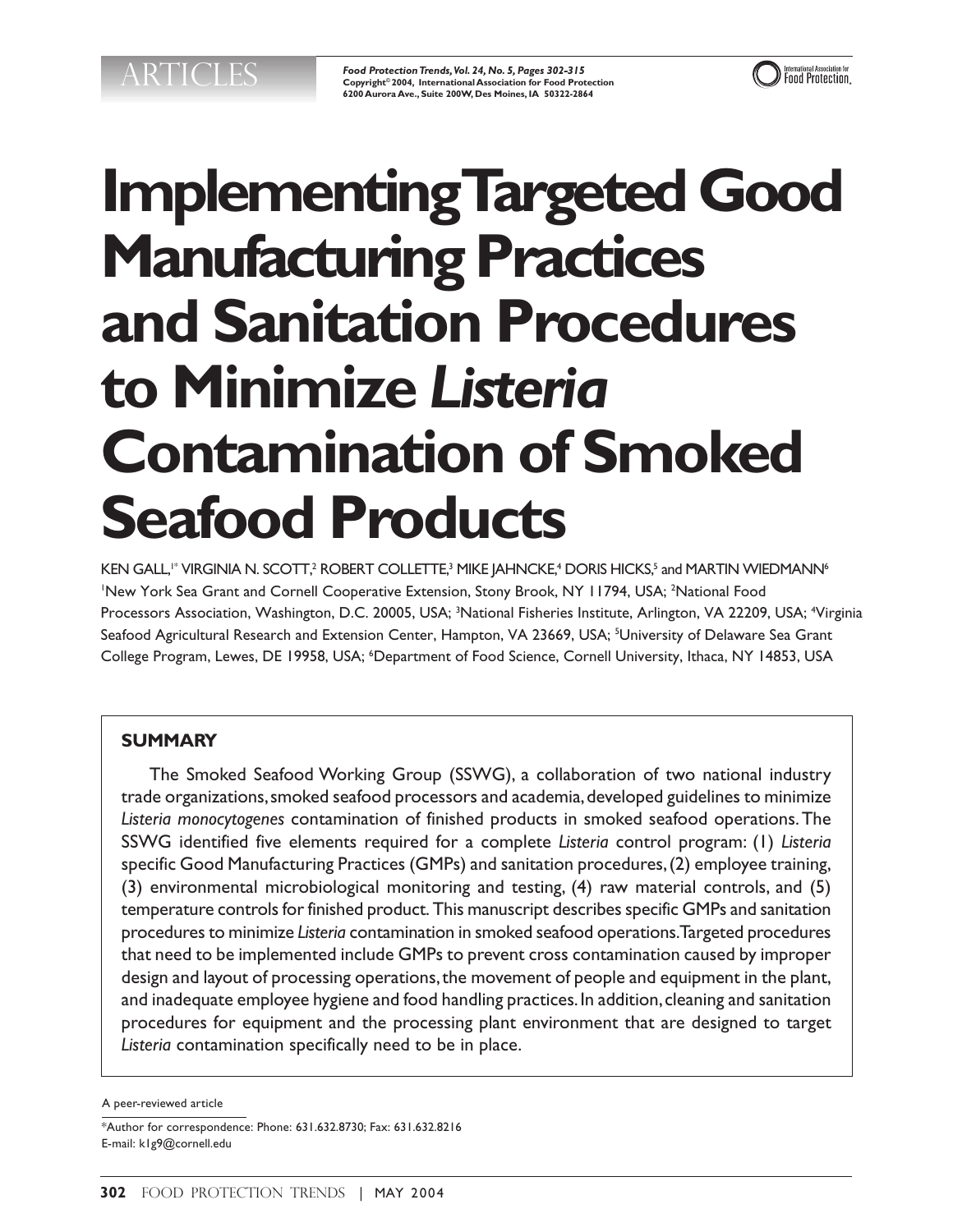*Food Protection Trends, Vol. 24, No. 5, Pages 302-315* **Copyright© 2004, International Association for Food Protection 6200 Aurora Ave., Suite 200W, Des Moines, IA 50322-2864**



# **Implementing Targeted Good Manufacturing Practices and Sanitation Procedures to Minimize** *Listeria* **Contamination of Smoked Seafood Products**

KEN GALL," VIRGINIA N. SCOTT,<sup>2</sup> ROBERT COLLETTE,<sup>3</sup> MIKE JAHNCKE,<sup>4</sup> DORIS HICKS,<sup>5</sup> and MARTIN WIEDMANN<sup>6</sup> 'New York Sea Grant and Cornell Cooperative Extension, Stony Brook, NY 11794, USA; <sup>2</sup>National Food Processors Association, Washington, D.C. 20005, USA; <sup>3</sup>National Fisheries Institute, Arlington, VA 22209, USA; <sup>4</sup>Virginia Seafood Agricultural Research and Extension Center, Hampton, VA 23669, USA; <sup>5</sup>University of Delaware Sea Grant College Program, Lewes, DE 19958, USA; <sup>6</sup>Department of Food Science, Cornell University, Ithaca, NY 14853, USA

# **SUMMARY**

The Smoked Seafood Working Group (SSWG), a collaboration of two national industry trade organizations, smoked seafood processors and academia, developed guidelines to minimize *Listeria monocytogenes* contamination of finished products in smoked seafood operations. The SSWG identified five elements required for a complete *Listeria* control program: (1) *Listeria* specific Good Manufacturing Practices (GMPs) and sanitation procedures, (2) employee training, (3) environmental microbiological monitoring and testing, (4) raw material controls, and (5) temperature controls for finished product. This manuscript describes specific GMPs and sanitation procedures to minimize *Listeria* contamination in smoked seafood operations. Targeted procedures that need to be implemented include GMPs to prevent cross contamination caused by improper design and layout of processing operations, the movement of people and equipment in the plant, and inadequate employee hygiene and food handling practices. In addition, cleaning and sanitation procedures for equipment and the processing plant environment that are designed to target *Listeria* contamination specifically need to be in place.

A peer-reviewed article

<sup>\*</sup>Author for correspondence: Phone: 631.632.8730; Fax: 631.632.8216 E-mail: k1g9@cornell.edu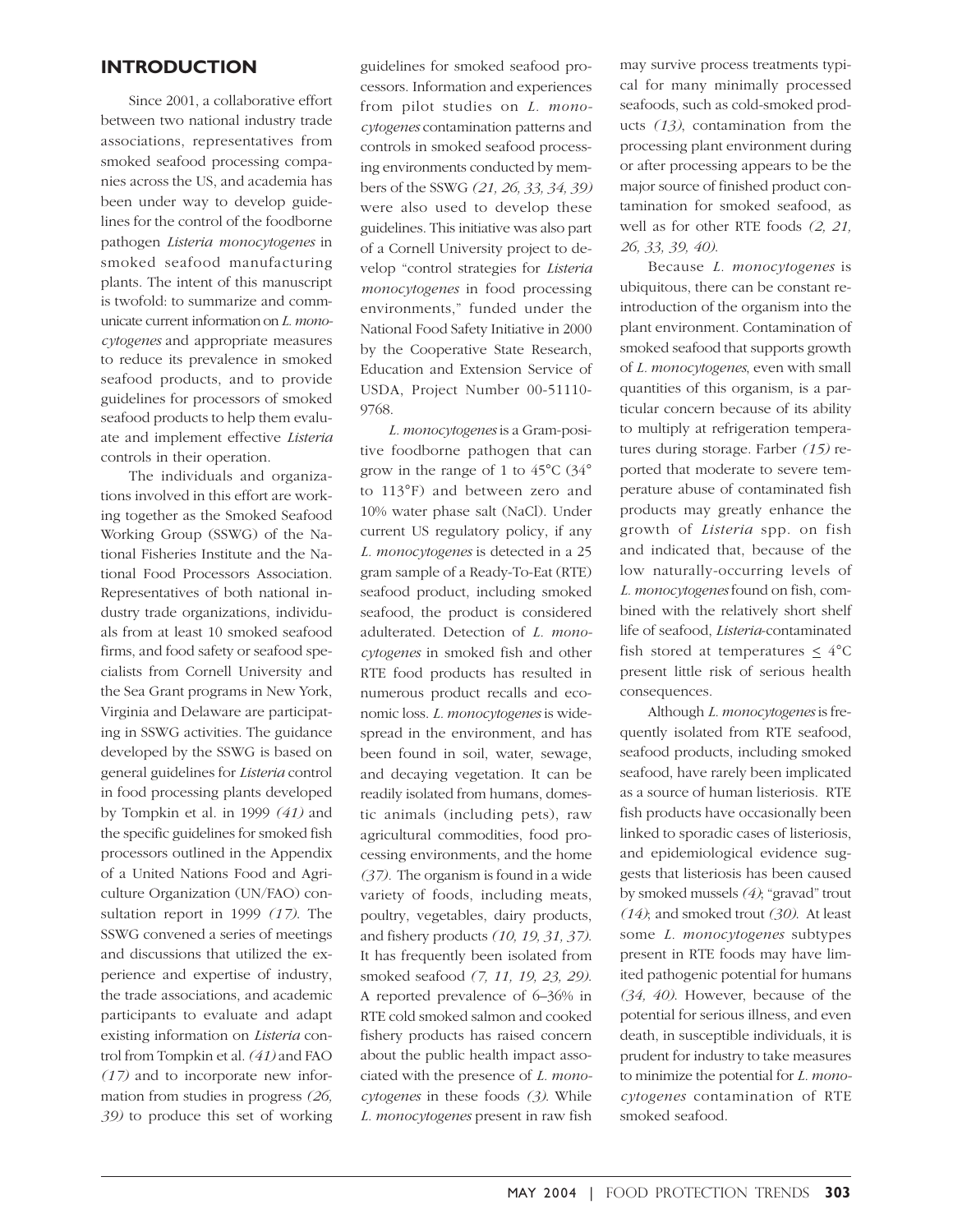#### **INTRODUCTION**

Since 2001, a collaborative effort between two national industry trade associations, representatives from smoked seafood processing companies across the US, and academia has been under way to develop guidelines for the control of the foodborne pathogen *Listeria monocytogenes* in smoked seafood manufacturing plants. The intent of this manuscript is twofold: to summarize and communicate current information on *L. monocytogenes* and appropriate measures to reduce its prevalence in smoked seafood products, and to provide guidelines for processors of smoked seafood products to help them evaluate and implement effective *Listeria* controls in their operation.

The individuals and organizations involved in this effort are working together as the Smoked Seafood Working Group (SSWG) of the National Fisheries Institute and the National Food Processors Association. Representatives of both national industry trade organizations, individuals from at least 10 smoked seafood firms, and food safety or seafood specialists from Cornell University and the Sea Grant programs in New York, Virginia and Delaware are participating in SSWG activities. The guidance developed by the SSWG is based on general guidelines for *Listeria* control in food processing plants developed by Tompkin et al. in 1999 *(41)* and the specific guidelines for smoked fish processors outlined in the Appendix of a United Nations Food and Agriculture Organization (UN/FAO) consultation report in 1999 *(17)*. The SSWG convened a series of meetings and discussions that utilized the experience and expertise of industry, the trade associations, and academic participants to evaluate and adapt existing information on *Listeria* control from Tompkin et al.*(41)* and FAO *(17)* and to incorporate new information from studies in progress *(26, 39)* to produce this set of working

guidelines for smoked seafood processors. Information and experiences from pilot studies on *L. monocytogenes* contamination patterns and controls in smoked seafood processing environments conducted by members of the SSWG *(21, 26, 33, 34, 39)* were also used to develop these guidelines. This initiative was also part of a Cornell University project to develop "control strategies for *Listeria monocytogenes* in food processing environments," funded under the National Food Safety Initiative in 2000 by the Cooperative State Research, Education and Extension Service of USDA, Project Number 00-51110- 9768.

*L. monocytogenes* is a Gram-positive foodborne pathogen that can grow in the range of 1 to 45°C (34° to 113°F) and between zero and 10% water phase salt (NaCl). Under current US regulatory policy, if any *L. monocytogenes* is detected in a 25 gram sample of a Ready-To-Eat (RTE) seafood product, including smoked seafood, the product is considered adulterated. Detection of *L. monocytogenes* in smoked fish and other RTE food products has resulted in numerous product recalls and economic loss. *L. monocytogenes* is widespread in the environment, and has been found in soil, water, sewage, and decaying vegetation. It can be readily isolated from humans, domestic animals (including pets), raw agricultural commodities, food processing environments, and the home *(37).* The organism is found in a wide variety of foods, including meats, poultry, vegetables, dairy products, and fishery products *(10, 19, 31, 37)*. It has frequently been isolated from smoked seafood *(7, 11, 19, 23, 29)*. A reported prevalence of 6–36% in RTE cold smoked salmon and cooked fishery products has raised concern about the public health impact associated with the presence of *L. monocytogenes* in these foods *(3)*. While *L. monocytogenes* present in raw fish

may survive process treatments typical for many minimally processed seafoods, such as cold-smoked products *(13)*, contamination from the processing plant environment during or after processing appears to be the major source of finished product contamination for smoked seafood, as well as for other RTE foods *(2, 21, 26, 33, 39, 40)*.

Because *L. monocytogenes* is ubiquitous, there can be constant reintroduction of the organism into the plant environment. Contamination of smoked seafood that supports growth of *L. monocytogenes*, even with small quantities of this organism, is a particular concern because of its ability to multiply at refrigeration temperatures during storage. Farber *(15)* reported that moderate to severe temperature abuse of contaminated fish products may greatly enhance the growth of *Listeria* spp. on fish and indicated that, because of the low naturally-occurring levels of *L. monocytogenes* found on fish, combined with the relatively short shelf life of seafood, *Listeria*-contaminated fish stored at temperatures  $\leq 4^{\circ}C$ present little risk of serious health consequences.

Although *L. monocytogenes* is frequently isolated from RTE seafood, seafood products, including smoked seafood, have rarely been implicated as a source of human listeriosis. RTE fish products have occasionally been linked to sporadic cases of listeriosis, and epidemiological evidence suggests that listeriosis has been caused by smoked mussels *(4)*; "gravad" trout *(14)*; and smoked trout *(30)*. At least some *L. monocytogenes* subtypes present in RTE foods may have limited pathogenic potential for humans *(34, 40)*. However, because of the potential for serious illness, and even death, in susceptible individuals, it is prudent for industry to take measures to minimize the potential for *L. monocytogenes* contamination of RTE smoked seafood.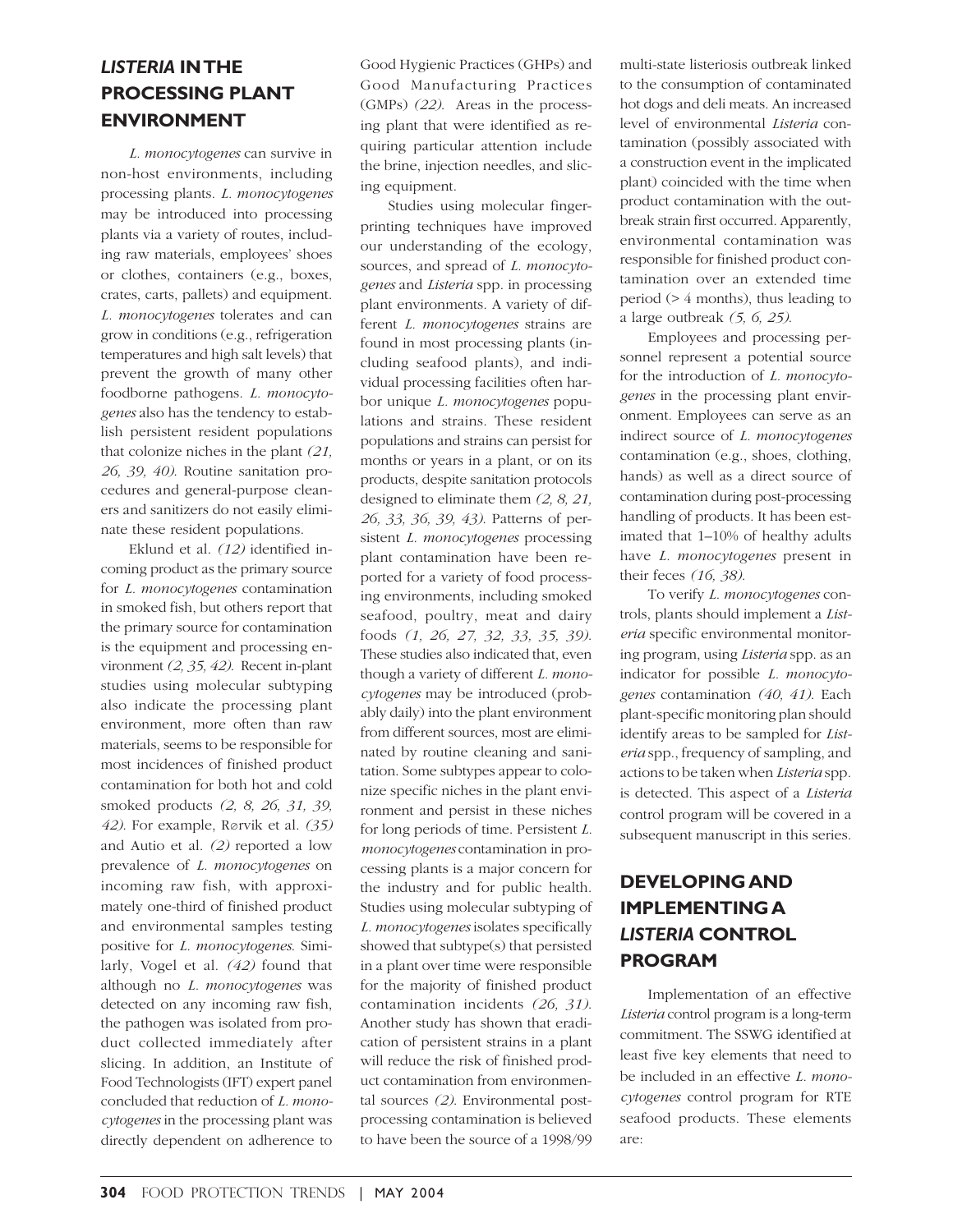# *LISTERIA* **IN THE PROCESSING PLANT ENVIRONMENT**

*L. monocytogenes* can survive in non-host environments, including processing plants. *L. monocytogenes* may be introduced into processing plants via a variety of routes, including raw materials, employees' shoes or clothes, containers (e.g., boxes, crates, carts, pallets) and equipment. *L. monocytogenes* tolerates and can grow in conditions (e.g., refrigeration temperatures and high salt levels) that prevent the growth of many other foodborne pathogens. *L. monocytogenes* also has the tendency to establish persistent resident populations that colonize niches in the plant *(21, 26, 39, 40)*. Routine sanitation procedures and general-purpose cleaners and sanitizers do not easily eliminate these resident populations.

Eklund et al. *(12)* identified incoming product as the primary source for *L. monocytogenes* contamination in smoked fish, but others report that the primary source for contamination is the equipment and processing environment *(2, 35, 42)*. Recent in-plant studies using molecular subtyping also indicate the processing plant environment, more often than raw materials, seems to be responsible for most incidences of finished product contamination for both hot and cold smoked products *(2, 8, 26, 31, 39, 42*). For example, Rørvik et al. *(35)* and Autio et al. *(2)* reported a low prevalence of *L. monocytogenes* on incoming raw fish, with approximately one-third of finished product and environmental samples testing positive for *L. monocytogenes*. Similarly, Vogel et al. *(42)* found that although no *L. monocytogenes* was detected on any incoming raw fish, the pathogen was isolated from product collected immediately after slicing. In addition, an Institute of Food Technologists (IFT) expert panel concluded that reduction of *L. monocytogenes* in the processing plant was directly dependent on adherence to

Good Hygienic Practices (GHPs) and Good Manufacturing Practices (GMPs) *(22)*. Areas in the processing plant that were identified as requiring particular attention include the brine, injection needles, and slicing equipment.

Studies using molecular fingerprinting techniques have improved our understanding of the ecology, sources, and spread of *L. monocytogenes* and *Listeria* spp. in processing plant environments. A variety of different *L. monocytogenes* strains are found in most processing plants (including seafood plants), and individual processing facilities often harbor unique *L. monocytogenes* populations and strains. These resident populations and strains can persist for months or years in a plant, or on its products, despite sanitation protocols designed to eliminate them *(2, 8, 21, 26, 33, 36, 39, 43)*. Patterns of persistent *L. monocytogenes* processing plant contamination have been reported for a variety of food processing environments, including smoked seafood, poultry, meat and dairy foods *(1, 26, 27, 32, 33, 35, 39)*. These studies also indicated that, even though a variety of different *L. monocytogenes* may be introduced (probably daily) into the plant environment from different sources, most are eliminated by routine cleaning and sanitation. Some subtypes appear to colonize specific niches in the plant environment and persist in these niches for long periods of time. Persistent *L. monocytogenes* contamination in processing plants is a major concern for the industry and for public health. Studies using molecular subtyping of *L. monocytogenes* isolates specifically showed that subtype(s) that persisted in a plant over time were responsible for the majority of finished product contamination incidents *(26, 31)*. Another study has shown that eradication of persistent strains in a plant will reduce the risk of finished product contamination from environmental sources *(2)*. Environmental postprocessing contamination is believed to have been the source of a 1998/99 multi-state listeriosis outbreak linked to the consumption of contaminated hot dogs and deli meats. An increased level of environmental *Listeria* contamination (possibly associated with a construction event in the implicated plant) coincided with the time when product contamination with the outbreak strain first occurred. Apparently, environmental contamination was responsible for finished product contamination over an extended time period (> 4 months), thus leading to a large outbreak *(5, 6, 25)*.

Employees and processing personnel represent a potential source for the introduction of *L. monocytogenes* in the processing plant environment. Employees can serve as an indirect source of *L. monocytogenes* contamination (e.g., shoes, clothing, hands) as well as a direct source of contamination during post-processing handling of products. It has been estimated that 1–10% of healthy adults have *L. monocytogenes* present in their feces *(16, 38)*.

To verify *L. monocytogenes* controls, plants should implement a *Listeria* specific environmental monitoring program, using *Listeria* spp. as an indicator for possible *L. monocytogenes* contamination *(40, 41)*. Each plant-specific monitoring plan should identify areas to be sampled for *Listeria* spp., frequency of sampling, and actions to be taken when *Listeria* spp. is detected. This aspect of a *Listeria* control program will be covered in a subsequent manuscript in this series.

# **DEVELOPING AND IMPLEMENTING A** *LISTERIA* **CONTROL PROGRAM**

Implementation of an effective *Listeria* control program is a long-term commitment. The SSWG identified at least five key elements that need to be included in an effective *L. monocytogenes* control program for RTE seafood products. These elements are: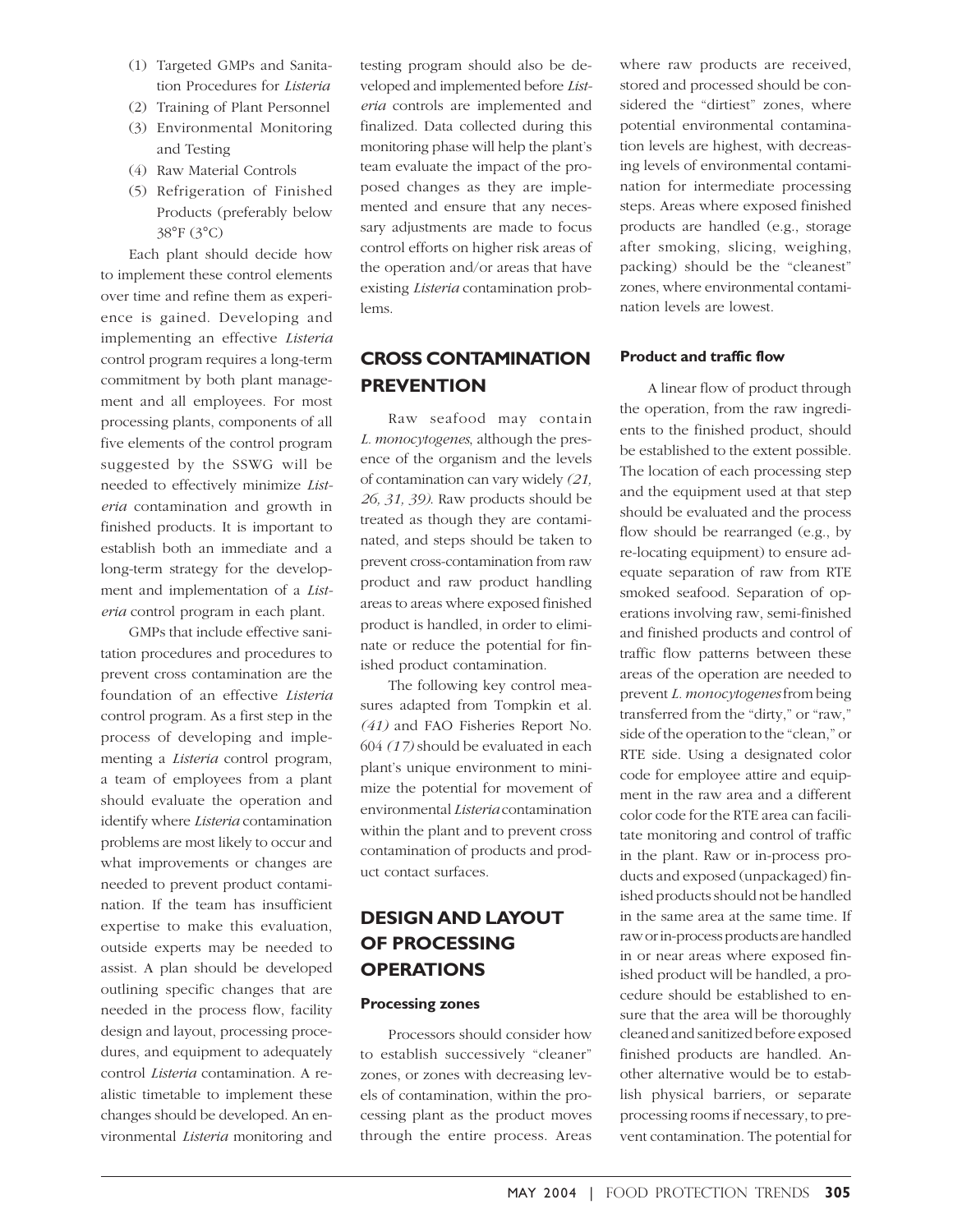- (1) Targeted GMPs and Sanitation Procedures for *Listeria*
- (2) Training of Plant Personnel
- (3) Environmental Monitoring and Testing
- (4) Raw Material Controls
- (5) Refrigeration of Finished Products (preferably below 38°F (3°C)

Each plant should decide how to implement these control elements over time and refine them as experience is gained. Developing and implementing an effective *Listeria* control program requires a long-term commitment by both plant management and all employees. For most processing plants, components of all five elements of the control program suggested by the SSWG will be needed to effectively minimize *Listeria* contamination and growth in finished products. It is important to establish both an immediate and a long-term strategy for the development and implementation of a *Listeria* control program in each plant.

GMPs that include effective sanitation procedures and procedures to prevent cross contamination are the foundation of an effective *Listeria* control program. As a first step in the process of developing and implementing a *Listeria* control program, a team of employees from a plant should evaluate the operation and identify where *Listeria* contamination problems are most likely to occur and what improvements or changes are needed to prevent product contamination. If the team has insufficient expertise to make this evaluation, outside experts may be needed to assist. A plan should be developed outlining specific changes that are needed in the process flow, facility design and layout, processing procedures, and equipment to adequately control *Listeria* contamination. A realistic timetable to implement these changes should be developed. An environmental *Listeria* monitoring and

testing program should also be developed and implemented before *Listeria* controls are implemented and finalized. Data collected during this monitoring phase will help the plant's team evaluate the impact of the proposed changes as they are implemented and ensure that any necessary adjustments are made to focus control efforts on higher risk areas of the operation and/or areas that have existing *Listeria* contamination problems.

# **CROSS CONTAMINATION PREVENTION**

Raw seafood may contain *L. monocytogenes*, although the presence of the organism and the levels of contamination can vary widely *(21, 26, 31, 39)*. Raw products should be treated as though they are contaminated, and steps should be taken to prevent cross-contamination from raw product and raw product handling areas to areas where exposed finished product is handled, in order to eliminate or reduce the potential for finished product contamination.

The following key control measures adapted from Tompkin et al. *(41)* and FAO Fisheries Report No. 604 *(17)* should be evaluated in each plant's unique environment to minimize the potential for movement of environmental *Listeria* contamination within the plant and to prevent cross contamination of products and product contact surfaces.

# **DESIGN AND LAYOUT OF PROCESSING OPERATIONS**

#### **Processing zones**

Processors should consider how to establish successively "cleaner" zones, or zones with decreasing levels of contamination, within the processing plant as the product moves through the entire process. Areas where raw products are received, stored and processed should be considered the "dirtiest" zones, where potential environmental contamination levels are highest, with decreasing levels of environmental contamination for intermediate processing steps. Areas where exposed finished products are handled (e.g., storage after smoking, slicing, weighing, packing) should be the "cleanest" zones, where environmental contamination levels are lowest.

#### **Product and traffic flow**

A linear flow of product through the operation, from the raw ingredients to the finished product, should be established to the extent possible. The location of each processing step and the equipment used at that step should be evaluated and the process flow should be rearranged (e.g., by re-locating equipment) to ensure adequate separation of raw from RTE smoked seafood. Separation of operations involving raw, semi-finished and finished products and control of traffic flow patterns between these areas of the operation are needed to prevent *L. monocytogenes* from being transferred from the "dirty," or "raw," side of the operation to the "clean," or RTE side. Using a designated color code for employee attire and equipment in the raw area and a different color code for the RTE area can facilitate monitoring and control of traffic in the plant. Raw or in-process products and exposed (unpackaged) finished products should not be handled in the same area at the same time. If raw or in-process products are handled in or near areas where exposed finished product will be handled, a procedure should be established to ensure that the area will be thoroughly cleaned and sanitized before exposed finished products are handled. Another alternative would be to establish physical barriers, or separate processing rooms if necessary, to prevent contamination. The potential for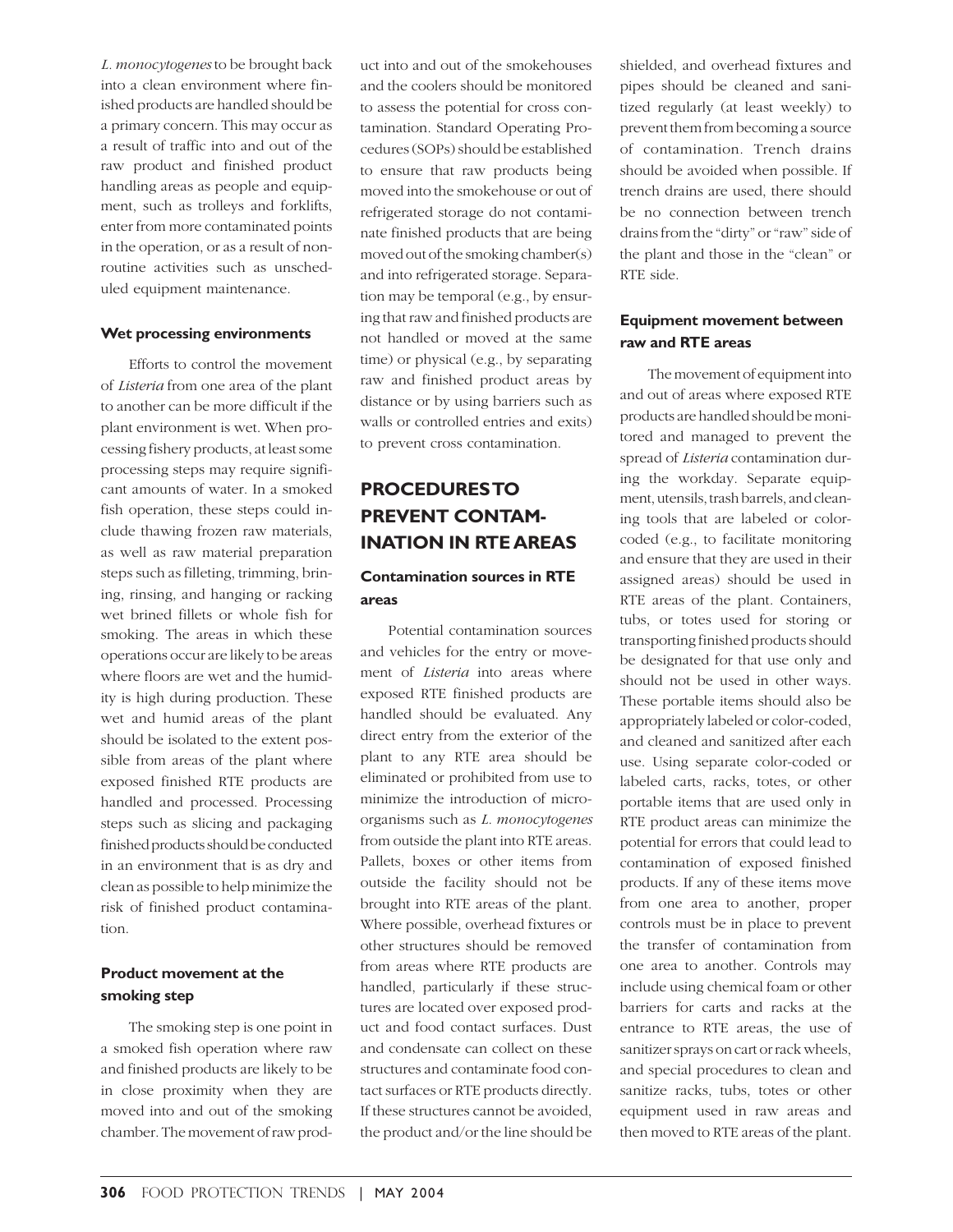*L. monocytogenes* to be brought back into a clean environment where finished products are handled should be a primary concern. This may occur as a result of traffic into and out of the raw product and finished product handling areas as people and equipment, such as trolleys and forklifts, enter from more contaminated points in the operation, or as a result of nonroutine activities such as unscheduled equipment maintenance.

#### **Wet processing environments**

Efforts to control the movement of *Listeria* from one area of the plant to another can be more difficult if the plant environment is wet. When processing fishery products, at least some processing steps may require significant amounts of water. In a smoked fish operation, these steps could include thawing frozen raw materials, as well as raw material preparation steps such as filleting, trimming, brining, rinsing, and hanging or racking wet brined fillets or whole fish for smoking. The areas in which these operations occur are likely to be areas where floors are wet and the humidity is high during production. These wet and humid areas of the plant should be isolated to the extent possible from areas of the plant where exposed finished RTE products are handled and processed. Processing steps such as slicing and packaging finished products should be conducted in an environment that is as dry and clean as possible to help minimize the risk of finished product contamination.

#### **Product movement at the smoking step**

The smoking step is one point in a smoked fish operation where raw and finished products are likely to be in close proximity when they are moved into and out of the smoking chamber. The movement of raw prod-

uct into and out of the smokehouses and the coolers should be monitored to assess the potential for cross contamination. Standard Operating Procedures (SOPs) should be established to ensure that raw products being moved into the smokehouse or out of refrigerated storage do not contaminate finished products that are being moved out of the smoking chamber(s) and into refrigerated storage. Separation may be temporal (e.g., by ensuring that raw and finished products are not handled or moved at the same time) or physical (e.g., by separating raw and finished product areas by distance or by using barriers such as walls or controlled entries and exits) to prevent cross contamination.

# **PROCEDURES TO PREVENT CONTAM-INATION IN RTE AREAS**

# **Contamination sources in RTE areas**

Potential contamination sources and vehicles for the entry or movement of *Listeria* into areas where exposed RTE finished products are handled should be evaluated. Any direct entry from the exterior of the plant to any RTE area should be eliminated or prohibited from use to minimize the introduction of microorganisms such as *L. monocytogenes* from outside the plant into RTE areas. Pallets, boxes or other items from outside the facility should not be brought into RTE areas of the plant. Where possible, overhead fixtures or other structures should be removed from areas where RTE products are handled, particularly if these structures are located over exposed product and food contact surfaces. Dust and condensate can collect on these structures and contaminate food contact surfaces or RTE products directly. If these structures cannot be avoided, the product and/or the line should be

shielded, and overhead fixtures and pipes should be cleaned and sanitized regularly (at least weekly) to prevent them from becoming a source of contamination. Trench drains should be avoided when possible. If trench drains are used, there should be no connection between trench drains from the "dirty" or "raw" side of the plant and those in the "clean" or RTE side.

#### **Equipment movement between raw and RTE areas**

The movement of equipment into and out of areas where exposed RTE products are handled should be monitored and managed to prevent the spread of *Listeria* contamination during the workday. Separate equipment, utensils, trash barrels, and cleaning tools that are labeled or colorcoded (e.g., to facilitate monitoring and ensure that they are used in their assigned areas) should be used in RTE areas of the plant. Containers, tubs, or totes used for storing or transporting finished products should be designated for that use only and should not be used in other ways. These portable items should also be appropriately labeled or color-coded, and cleaned and sanitized after each use. Using separate color-coded or labeled carts, racks, totes, or other portable items that are used only in RTE product areas can minimize the potential for errors that could lead to contamination of exposed finished products. If any of these items move from one area to another, proper controls must be in place to prevent the transfer of contamination from one area to another. Controls may include using chemical foam or other barriers for carts and racks at the entrance to RTE areas, the use of sanitizer sprays on cart or rack wheels, and special procedures to clean and sanitize racks, tubs, totes or other equipment used in raw areas and then moved to RTE areas of the plant.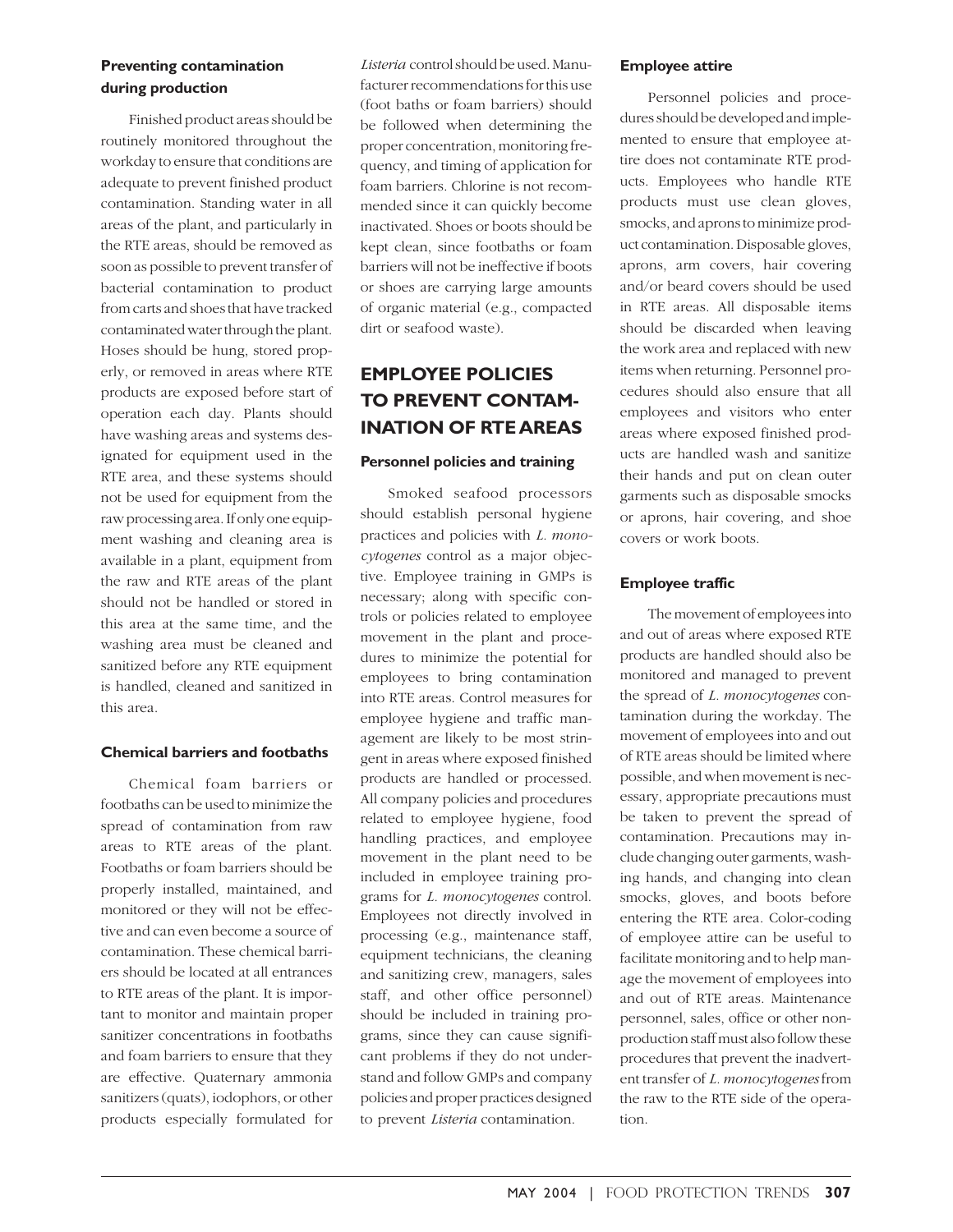## **Preventing contamination during production**

Finished product areas should be routinely monitored throughout the workday to ensure that conditions are adequate to prevent finished product contamination. Standing water in all areas of the plant, and particularly in the RTE areas, should be removed as soon as possible to prevent transfer of bacterial contamination to product from carts and shoes that have tracked contaminated water through the plant. Hoses should be hung, stored properly, or removed in areas where RTE products are exposed before start of operation each day. Plants should have washing areas and systems designated for equipment used in the RTE area, and these systems should not be used for equipment from the raw processing area. If only one equipment washing and cleaning area is available in a plant, equipment from the raw and RTE areas of the plant should not be handled or stored in this area at the same time, and the washing area must be cleaned and sanitized before any RTE equipment is handled, cleaned and sanitized in this area.

#### **Chemical barriers and footbaths**

Chemical foam barriers or footbaths can be used to minimize the spread of contamination from raw areas to RTE areas of the plant. Footbaths or foam barriers should be properly installed, maintained, and monitored or they will not be effective and can even become a source of contamination. These chemical barriers should be located at all entrances to RTE areas of the plant. It is important to monitor and maintain proper sanitizer concentrations in footbaths and foam barriers to ensure that they are effective. Quaternary ammonia sanitizers (quats), iodophors, or other products especially formulated for

*Listeria* control should be used. Manufacturer recommendations for this use (foot baths or foam barriers) should be followed when determining the proper concentration, monitoring frequency, and timing of application for foam barriers. Chlorine is not recommended since it can quickly become inactivated. Shoes or boots should be kept clean, since footbaths or foam barriers will not be ineffective if boots or shoes are carrying large amounts of organic material (e.g., compacted dirt or seafood waste).

# **EMPLOYEE POLICIES TO PREVENT CONTAM-INATION OF RTE AREAS**

#### **Personnel policies and training**

Smoked seafood processors should establish personal hygiene practices and policies with *L. monocytogenes* control as a major objective. Employee training in GMPs is necessary; along with specific controls or policies related to employee movement in the plant and procedures to minimize the potential for employees to bring contamination into RTE areas. Control measures for employee hygiene and traffic management are likely to be most stringent in areas where exposed finished products are handled or processed. All company policies and procedures related to employee hygiene, food handling practices, and employee movement in the plant need to be included in employee training programs for *L. monocytogenes* control. Employees not directly involved in processing (e.g., maintenance staff, equipment technicians, the cleaning and sanitizing crew, managers, sales staff, and other office personnel) should be included in training programs, since they can cause significant problems if they do not understand and follow GMPs and company policies and proper practices designed to prevent *Listeria* contamination.

#### **Employee attire**

Personnel policies and procedures should be developed and implemented to ensure that employee attire does not contaminate RTE products. Employees who handle RTE products must use clean gloves, smocks, and aprons to minimize product contamination. Disposable gloves, aprons, arm covers, hair covering and/or beard covers should be used in RTE areas. All disposable items should be discarded when leaving the work area and replaced with new items when returning. Personnel procedures should also ensure that all employees and visitors who enter areas where exposed finished products are handled wash and sanitize their hands and put on clean outer garments such as disposable smocks or aprons, hair covering, and shoe covers or work boots.

#### **Employee traffic**

The movement of employees into and out of areas where exposed RTE products are handled should also be monitored and managed to prevent the spread of *L. monocytogenes* contamination during the workday. The movement of employees into and out of RTE areas should be limited where possible, and when movement is necessary, appropriate precautions must be taken to prevent the spread of contamination. Precautions may include changing outer garments, washing hands, and changing into clean smocks, gloves, and boots before entering the RTE area. Color-coding of employee attire can be useful to facilitate monitoring and to help manage the movement of employees into and out of RTE areas. Maintenance personnel, sales, office or other nonproduction staff must also follow these procedures that prevent the inadvertent transfer of *L. monocytogenes* from the raw to the RTE side of the operation.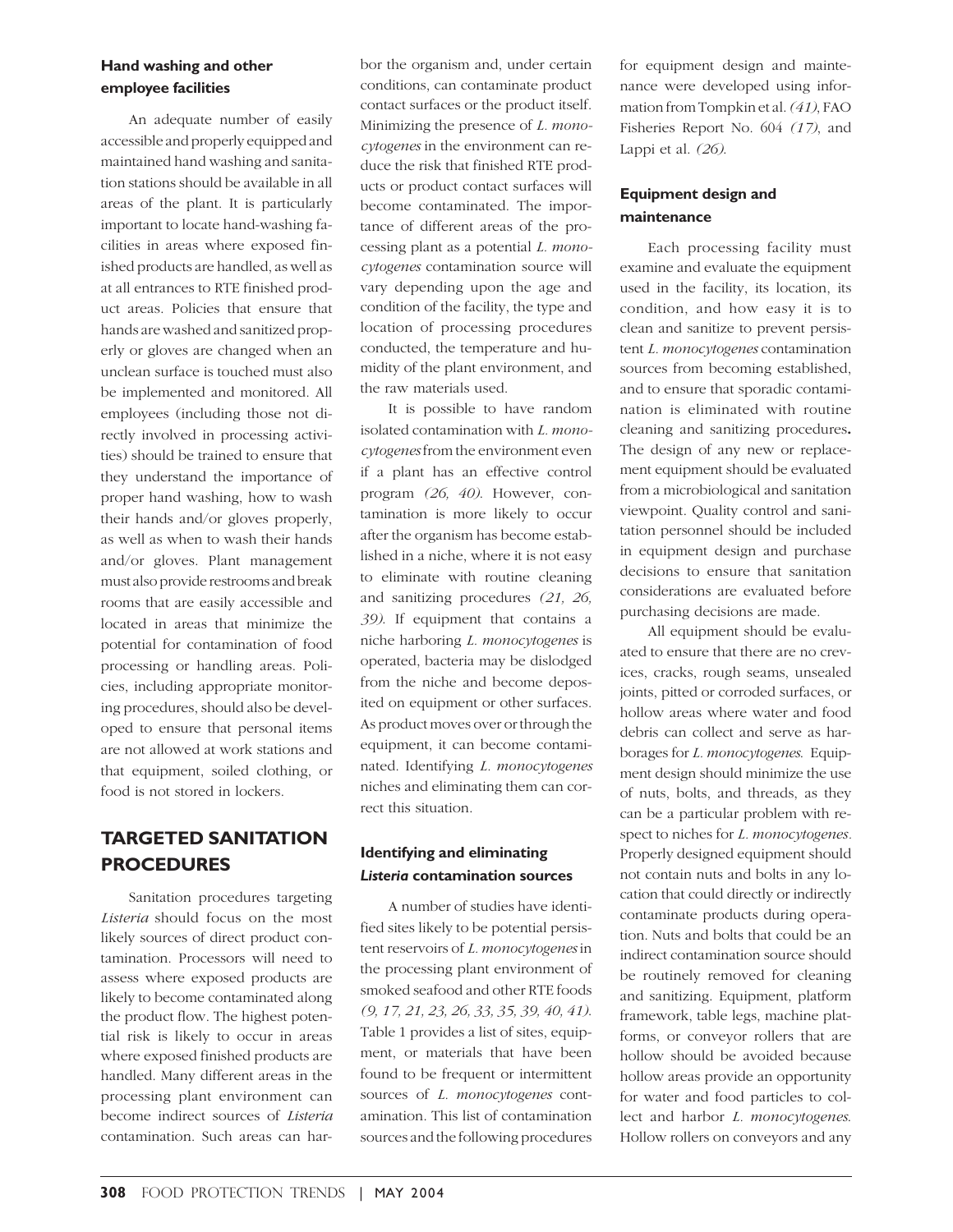#### **Hand washing and other employee facilities**

An adequate number of easily accessible and properly equipped and maintained hand washing and sanitation stations should be available in all areas of the plant. It is particularly important to locate hand-washing facilities in areas where exposed finished products are handled, as well as at all entrances to RTE finished product areas. Policies that ensure that hands are washed and sanitized properly or gloves are changed when an unclean surface is touched must also be implemented and monitored. All employees (including those not directly involved in processing activities) should be trained to ensure that they understand the importance of proper hand washing, how to wash their hands and/or gloves properly, as well as when to wash their hands and/or gloves. Plant management must also provide restrooms and break rooms that are easily accessible and located in areas that minimize the potential for contamination of food processing or handling areas. Policies, including appropriate monitoring procedures, should also be developed to ensure that personal items are not allowed at work stations and that equipment, soiled clothing, or food is not stored in lockers.

# **TARGETED SANITATION PROCEDURES**

Sanitation procedures targeting *Listeria* should focus on the most likely sources of direct product contamination. Processors will need to assess where exposed products are likely to become contaminated along the product flow. The highest potential risk is likely to occur in areas where exposed finished products are handled. Many different areas in the processing plant environment can become indirect sources of *Listeria* contamination. Such areas can harbor the organism and, under certain conditions, can contaminate product contact surfaces or the product itself. Minimizing the presence of *L. monocytogenes* in the environment can reduce the risk that finished RTE products or product contact surfaces will become contaminated. The importance of different areas of the processing plant as a potential *L. monocytogenes* contamination source will vary depending upon the age and condition of the facility, the type and location of processing procedures conducted, the temperature and humidity of the plant environment, and the raw materials used.

It is possible to have random isolated contamination with *L. monocytogenes* from the environment even if a plant has an effective control program *(26, 40)*. However, contamination is more likely to occur after the organism has become established in a niche, where it is not easy to eliminate with routine cleaning and sanitizing procedures *(21, 26, 39)*. If equipment that contains a niche harboring *L. monocytogenes* is operated, bacteria may be dislodged from the niche and become deposited on equipment or other surfaces. As product moves over or through the equipment, it can become contaminated. Identifying *L. monocytogenes* niches and eliminating them can correct this situation.

## **Identifying and eliminating** *Listeria* **contamination sources**

A number of studies have identified sites likely to be potential persistent reservoirs of *L. monocytogenes* in the processing plant environment of smoked seafood and other RTE foods *(9, 17, 21, 23, 26, 33, 35, 39, 40, 41)*. Table 1 provides a list of sites, equipment, or materials that have been found to be frequent or intermittent sources of *L. monocytogenes* contamination. This list of contamination sources and the following procedures

for equipment design and maintenance were developed using information from Tompkin et al.*(41)*, FAO Fisheries Report No. 604 *(17)*, and Lappi et al. *(26)*.

## **Equipment design and maintenance**

Each processing facility must examine and evaluate the equipment used in the facility, its location, its condition, and how easy it is to clean and sanitize to prevent persistent *L. monocytogenes* contamination sources from becoming established, and to ensure that sporadic contamination is eliminated with routine cleaning and sanitizing procedures**.** The design of any new or replacement equipment should be evaluated from a microbiological and sanitation viewpoint. Quality control and sanitation personnel should be included in equipment design and purchase decisions to ensure that sanitation considerations are evaluated before purchasing decisions are made.

All equipment should be evaluated to ensure that there are no crevices, cracks, rough seams, unsealed joints, pitted or corroded surfaces, or hollow areas where water and food debris can collect and serve as harborages for *L. monocytogenes*. Equipment design should minimize the use of nuts, bolts, and threads, as they can be a particular problem with respect to niches for *L. monocytogenes.* Properly designed equipment should not contain nuts and bolts in any location that could directly or indirectly contaminate products during operation. Nuts and bolts that could be an indirect contamination source should be routinely removed for cleaning and sanitizing. Equipment, platform framework, table legs, machine platforms, or conveyor rollers that are hollow should be avoided because hollow areas provide an opportunity for water and food particles to collect and harbor *L. monocytogenes*. Hollow rollers on conveyors and any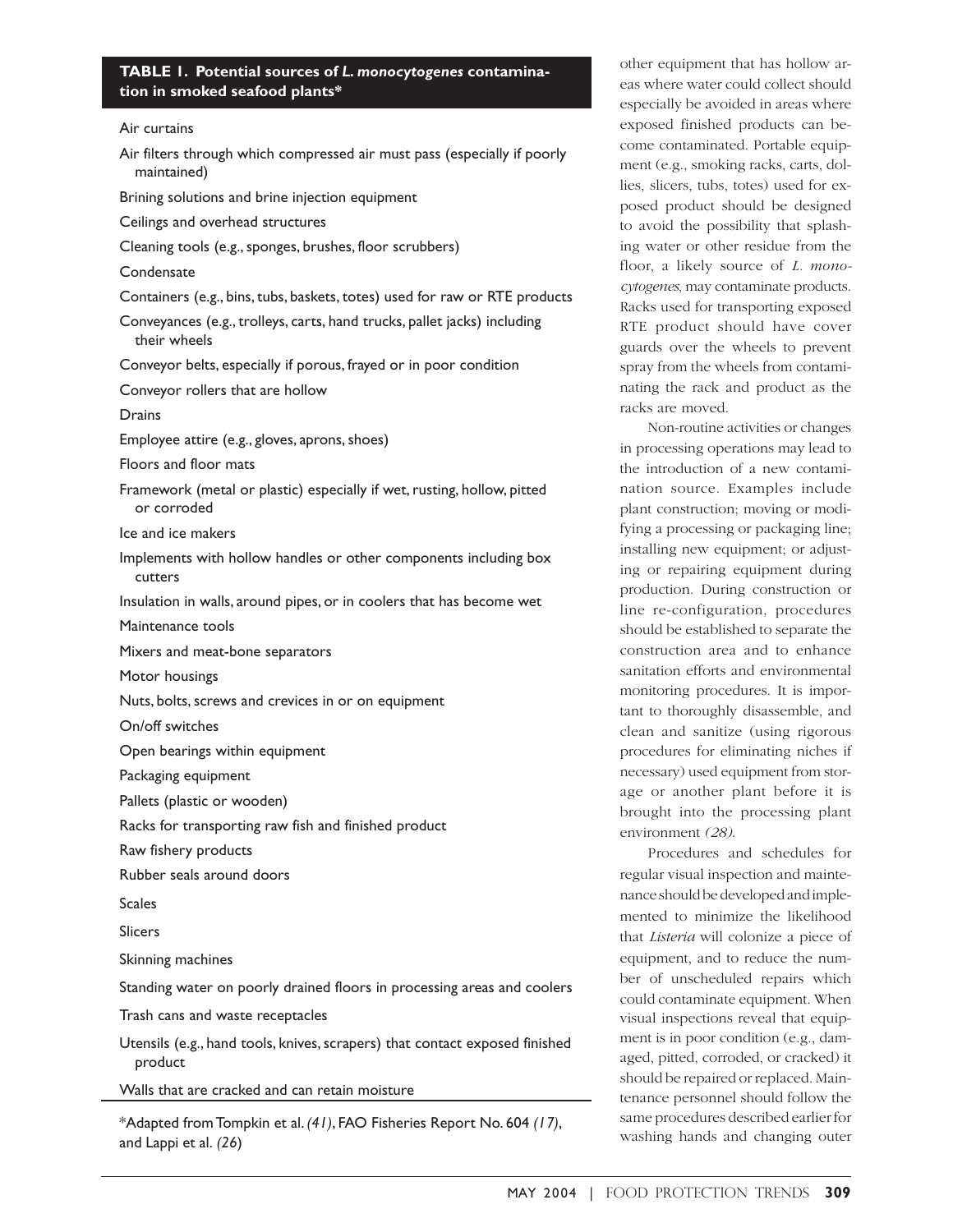#### **TABLE 1. Potential sources of** *L. monocytogenes* **contamination in smoked seafood plants\***

Air curtains

| Air filters through which compressed air must pass (especially if poorly<br>maintained)  |
|------------------------------------------------------------------------------------------|
| Brining solutions and brine injection equipment                                          |
| Ceilings and overhead structures                                                         |
| Cleaning tools (e.g., sponges, brushes, floor scrubbers)                                 |
| Condensate                                                                               |
| Containers (e.g., bins, tubs, baskets, totes) used for raw or RTE products               |
| Conveyances (e.g., trolleys, carts, hand trucks, pallet jacks) including<br>their wheels |
| Conveyor belts, especially if porous, frayed or in poor condition                        |
| Conveyor rollers that are hollow                                                         |
| Drains                                                                                   |
| Employee attire (e.g., gloves, aprons, shoes)                                            |
| Floors and floor mats                                                                    |
| Framework (metal or plastic) especially if wet, rusting, hollow, pitted<br>or corroded   |
| lce and ice makers                                                                       |
| Implements with hollow handles or other components including box<br>cutters              |
| Insulation in walls, around pipes, or in coolers that has become wet                     |
| Maintenance tools                                                                        |
| Mixers and meat-bone separators                                                          |
| Motor housings                                                                           |
| Nuts, bolts, screws and crevices in or on equipment                                      |
| On/off switches                                                                          |
| Open bearings within equipment                                                           |
| Packaging equipment                                                                      |
| Pallets (plastic or wooden)                                                              |
| Racks for transporting raw fish and finished product                                     |
| Raw fishery products                                                                     |
| Rubber seals around doors                                                                |
| <b>Scales</b>                                                                            |
| <b>Slicers</b>                                                                           |
| Skinning machines                                                                        |
| Standing water on poorly drained floors in processing areas and coolers                  |
| Trash cans and waste receptacles                                                         |
| Utensils (e.g., hand tools, knives, scrapers) that contact exposed finished<br>product   |
| Walls that are cracked and can retain moisture                                           |

\*Adapted from Tompkin et al. *(41)*, FAO Fisheries Report No. 604 *(17)*, and Lappi et al. *(26*)

other equipment that has hollow areas where water could collect should especially be avoided in areas where exposed finished products can become contaminated. Portable equipment (e.g., smoking racks, carts, dollies, slicers, tubs, totes) used for exposed product should be designed to avoid the possibility that splashing water or other residue from the floor, a likely source of *L. monocytogenes*, may contaminate products. Racks used for transporting exposed RTE product should have cover guards over the wheels to prevent spray from the wheels from contaminating the rack and product as the racks are moved.

Non-routine activities or changes in processing operations may lead to the introduction of a new contamination source. Examples include plant construction; moving or modifying a processing or packaging line; installing new equipment; or adjusting or repairing equipment during production. During construction or line re-configuration, procedures should be established to separate the construction area and to enhance sanitation efforts and environmental monitoring procedures. It is important to thoroughly disassemble, and clean and sanitize (using rigorous procedures for eliminating niches if necessary) used equipment from storage or another plant before it is brought into the processing plant environment *(28)*.

Procedures and schedules for regular visual inspection and maintenance should be developed and implemented to minimize the likelihood that *Listeria* will colonize a piece of equipment, and to reduce the number of unscheduled repairs which could contaminate equipment. When visual inspections reveal that equipment is in poor condition (e.g., damaged, pitted, corroded, or cracked) it should be repaired or replaced. Maintenance personnel should follow the same procedures described earlier for washing hands and changing outer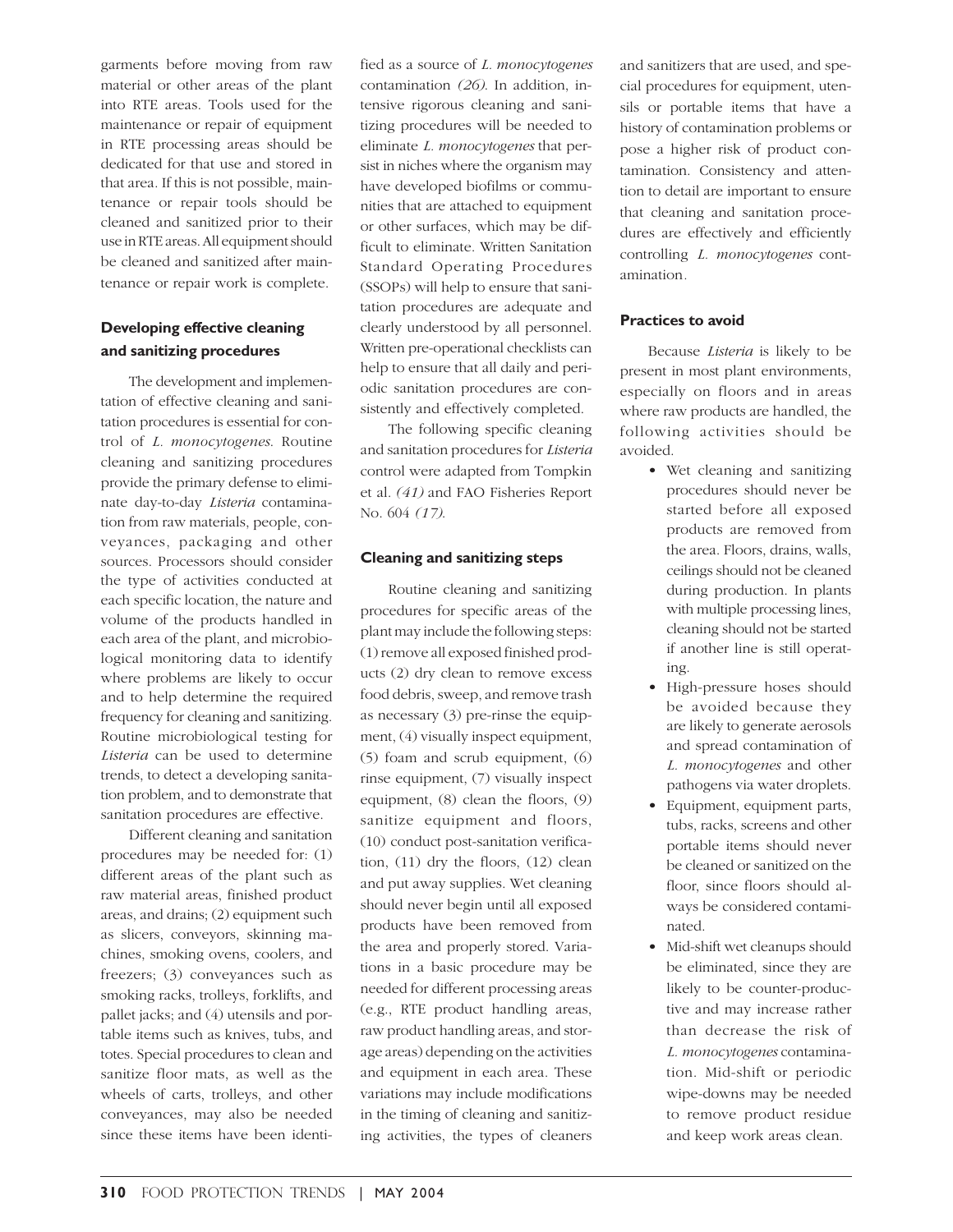garments before moving from raw material or other areas of the plant into RTE areas. Tools used for the maintenance or repair of equipment in RTE processing areas should be dedicated for that use and stored in that area. If this is not possible, maintenance or repair tools should be cleaned and sanitized prior to their use in RTE areas. All equipment should be cleaned and sanitized after maintenance or repair work is complete.

#### **Developing effective cleaning and sanitizing procedures**

The development and implementation of effective cleaning and sanitation procedures is essential for control of *L. monocytogenes*. Routine cleaning and sanitizing procedures provide the primary defense to eliminate day-to-day *Listeria* contamination from raw materials, people, conveyances, packaging and other sources. Processors should consider the type of activities conducted at each specific location, the nature and volume of the products handled in each area of the plant, and microbiological monitoring data to identify where problems are likely to occur and to help determine the required frequency for cleaning and sanitizing. Routine microbiological testing for *Listeria* can be used to determine trends, to detect a developing sanitation problem, and to demonstrate that sanitation procedures are effective.

Different cleaning and sanitation procedures may be needed for: (1) different areas of the plant such as raw material areas, finished product areas, and drains; (2) equipment such as slicers, conveyors, skinning machines, smoking ovens, coolers, and freezers; (3) conveyances such as smoking racks, trolleys, forklifts, and pallet jacks; and (4) utensils and portable items such as knives, tubs, and totes. Special procedures to clean and sanitize floor mats, as well as the wheels of carts, trolleys, and other conveyances, may also be needed since these items have been identified as a source of *L. monocytogenes* contamination *(26)*. In addition, intensive rigorous cleaning and sanitizing procedures will be needed to eliminate *L. monocytogenes* that persist in niches where the organism may have developed biofilms or communities that are attached to equipment or other surfaces, which may be difficult to eliminate. Written Sanitation Standard Operating Procedures (SSOPs) will help to ensure that sanitation procedures are adequate and clearly understood by all personnel. Written pre-operational checklists can help to ensure that all daily and periodic sanitation procedures are consistently and effectively completed.

The following specific cleaning and sanitation procedures for *Listeria* control were adapted from Tompkin et al. *(41)* and FAO Fisheries Report No. 604 *(17)*.

#### **Cleaning and sanitizing steps**

Routine cleaning and sanitizing procedures for specific areas of the plant may include the following steps: (1) remove all exposed finished products (2) dry clean to remove excess food debris, sweep, and remove trash as necessary (3) pre-rinse the equipment, (4) visually inspect equipment, (5) foam and scrub equipment, (6) rinse equipment, (7) visually inspect equipment, (8) clean the floors, (9) sanitize equipment and floors, (10) conduct post-sanitation verification, (11) dry the floors, (12) clean and put away supplies. Wet cleaning should never begin until all exposed products have been removed from the area and properly stored. Variations in a basic procedure may be needed for different processing areas (e.g., RTE product handling areas, raw product handling areas, and storage areas) depending on the activities and equipment in each area. These variations may include modifications in the timing of cleaning and sanitizing activities, the types of cleaners and sanitizers that are used, and special procedures for equipment, utensils or portable items that have a history of contamination problems or pose a higher risk of product contamination. Consistency and attention to detail are important to ensure that cleaning and sanitation procedures are effectively and efficiently controlling *L. monocytogenes* contamination*.*

#### **Practices to avoid**

Because *Listeria* is likely to be present in most plant environments, especially on floors and in areas where raw products are handled, the following activities should be avoided.

- Wet cleaning and sanitizing procedures should never be started before all exposed products are removed from the area. Floors, drains, walls, ceilings should not be cleaned during production. In plants with multiple processing lines, cleaning should not be started if another line is still operating.
- High-pressure hoses should be avoided because they are likely to generate aerosols and spread contamination of *L. monocytogenes* and other pathogens via water droplets.
- Equipment, equipment parts, tubs, racks, screens and other portable items should never be cleaned or sanitized on the floor, since floors should always be considered contaminated.
- Mid-shift wet cleanups should be eliminated, since they are likely to be counter-productive and may increase rather than decrease the risk of *L. monocytogenes* contamination. Mid-shift or periodic wipe-downs may be needed to remove product residue and keep work areas clean.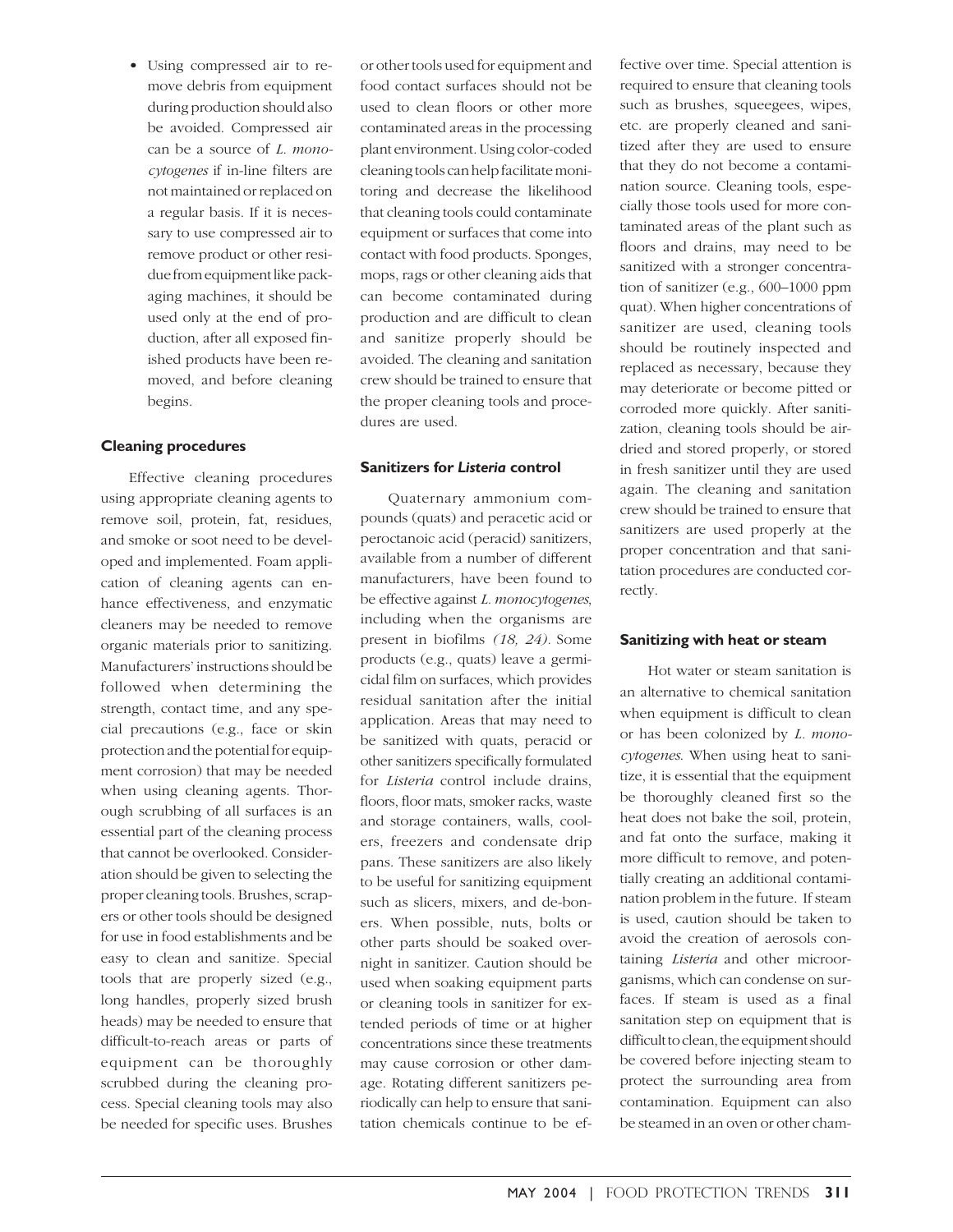• Using compressed air to remove debris from equipment during production should also be avoided. Compressed air can be a source of *L. monocytogenes* if in-line filters are not maintained or replaced on a regular basis. If it is necessary to use compressed air to remove product or other residue from equipment like packaging machines, it should be used only at the end of production, after all exposed finished products have been removed, and before cleaning begins.

#### **Cleaning procedures**

Effective cleaning procedures using appropriate cleaning agents to remove soil, protein, fat, residues, and smoke or soot need to be developed and implemented. Foam application of cleaning agents can enhance effectiveness, and enzymatic cleaners may be needed to remove organic materials prior to sanitizing. Manufacturers' instructions should be followed when determining the strength, contact time, and any special precautions (e.g., face or skin protection and the potential for equipment corrosion) that may be needed when using cleaning agents. Thorough scrubbing of all surfaces is an essential part of the cleaning process that cannot be overlooked. Consideration should be given to selecting the proper cleaning tools. Brushes, scrapers or other tools should be designed for use in food establishments and be easy to clean and sanitize. Special tools that are properly sized (e.g., long handles, properly sized brush heads) may be needed to ensure that difficult-to-reach areas or parts of equipment can be thoroughly scrubbed during the cleaning process. Special cleaning tools may also be needed for specific uses. Brushes

or other tools used for equipment and food contact surfaces should not be used to clean floors or other more contaminated areas in the processing plant environment. Using color-coded cleaning tools can help facilitate monitoring and decrease the likelihood that cleaning tools could contaminate equipment or surfaces that come into contact with food products. Sponges, mops, rags or other cleaning aids that can become contaminated during production and are difficult to clean and sanitize properly should be avoided. The cleaning and sanitation crew should be trained to ensure that the proper cleaning tools and procedures are used.

#### **Sanitizers for** *Listeria* **control**

Quaternary ammonium compounds (quats) and peracetic acid or peroctanoic acid (peracid) sanitizers, available from a number of different manufacturers, have been found to be effective against *L. monocytogenes*, including when the organisms are present in biofilms *(18, 24).* Some products (e.g., quats) leave a germicidal film on surfaces, which provides residual sanitation after the initial application. Areas that may need to be sanitized with quats, peracid or other sanitizers specifically formulated for *Listeria* control include drains, floors, floor mats, smoker racks, waste and storage containers, walls, coolers, freezers and condensate drip pans. These sanitizers are also likely to be useful for sanitizing equipment such as slicers, mixers, and de-boners. When possible, nuts, bolts or other parts should be soaked overnight in sanitizer. Caution should be used when soaking equipment parts or cleaning tools in sanitizer for extended periods of time or at higher concentrations since these treatments may cause corrosion or other damage. Rotating different sanitizers periodically can help to ensure that sanitation chemicals continue to be effective over time. Special attention is required to ensure that cleaning tools such as brushes, squeegees, wipes, etc. are properly cleaned and sanitized after they are used to ensure that they do not become a contamination source. Cleaning tools, especially those tools used for more contaminated areas of the plant such as floors and drains, may need to be sanitized with a stronger concentration of sanitizer (e.g., 600–1000 ppm quat). When higher concentrations of sanitizer are used, cleaning tools should be routinely inspected and replaced as necessary, because they may deteriorate or become pitted or corroded more quickly. After sanitization, cleaning tools should be airdried and stored properly, or stored in fresh sanitizer until they are used again. The cleaning and sanitation crew should be trained to ensure that sanitizers are used properly at the proper concentration and that sanitation procedures are conducted correctly.

#### **Sanitizing with heat or steam**

Hot water or steam sanitation is an alternative to chemical sanitation when equipment is difficult to clean or has been colonized by *L. monocytogenes*. When using heat to sanitize, it is essential that the equipment be thoroughly cleaned first so the heat does not bake the soil, protein, and fat onto the surface, making it more difficult to remove, and potentially creating an additional contamination problem in the future. If steam is used, caution should be taken to avoid the creation of aerosols containing *Listeria* and other microorganisms, which can condense on surfaces. If steam is used as a final sanitation step on equipment that is difficult to clean, the equipment should be covered before injecting steam to protect the surrounding area from contamination. Equipment can also be steamed in an oven or other cham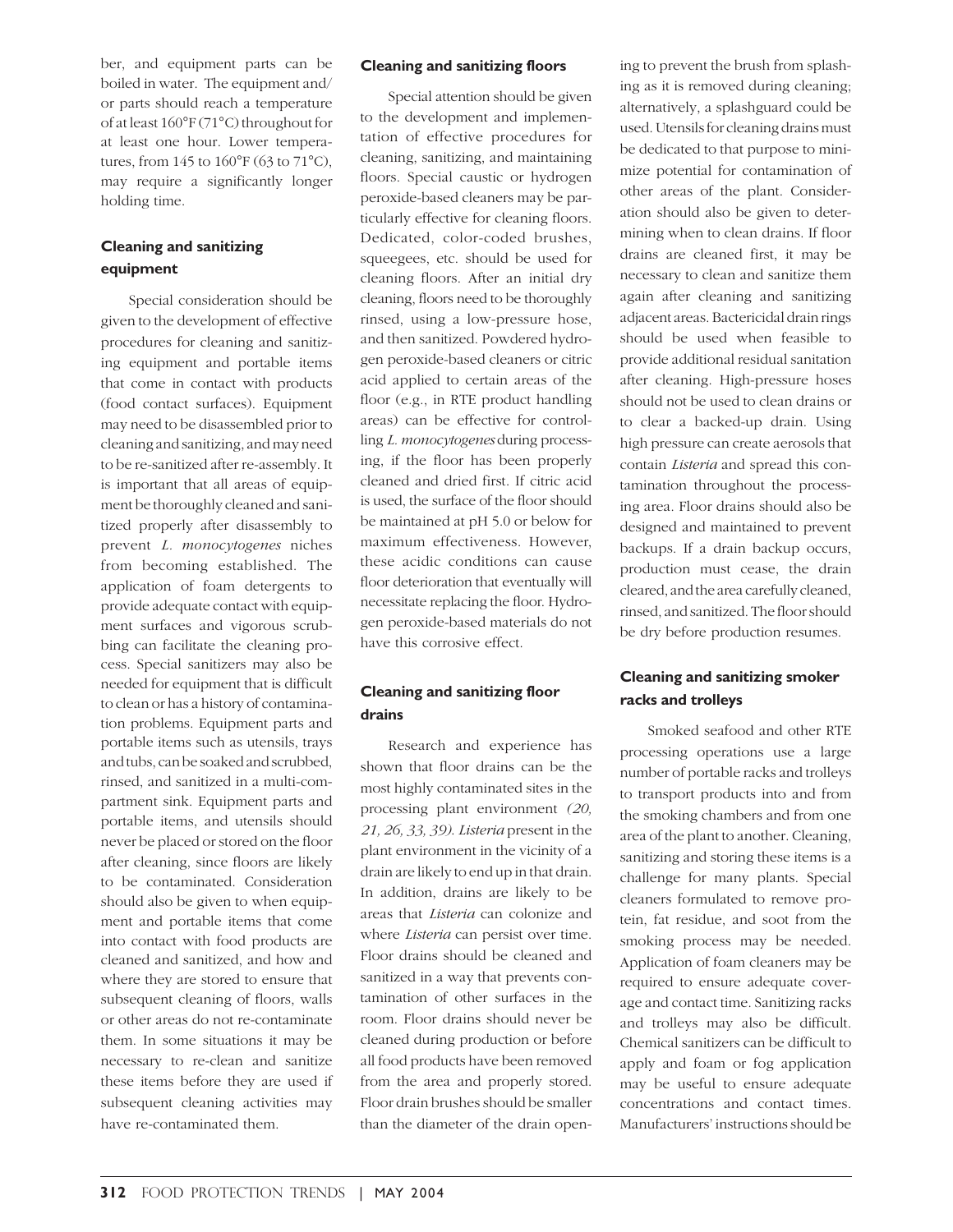ber, and equipment parts can be boiled in water. The equipment and/ or parts should reach a temperature of at least 160°F (71°C) throughout for at least one hour. Lower temperatures, from 145 to 160°F (63 to 71°C), may require a significantly longer holding time.

# **Cleaning and sanitizing equipment**

Special consideration should be given to the development of effective procedures for cleaning and sanitizing equipment and portable items that come in contact with products (food contact surfaces). Equipment may need to be disassembled prior to cleaning and sanitizing, and may need to be re-sanitized after re-assembly. It is important that all areas of equipment be thoroughly cleaned and sanitized properly after disassembly to prevent *L. monocytogenes* niches from becoming established. The application of foam detergents to provide adequate contact with equipment surfaces and vigorous scrubbing can facilitate the cleaning process. Special sanitizers may also be needed for equipment that is difficult to clean or has a history of contamination problems. Equipment parts and portable items such as utensils, trays and tubs, can be soaked and scrubbed, rinsed, and sanitized in a multi-compartment sink. Equipment parts and portable items, and utensils should never be placed or stored on the floor after cleaning, since floors are likely to be contaminated. Consideration should also be given to when equipment and portable items that come into contact with food products are cleaned and sanitized, and how and where they are stored to ensure that subsequent cleaning of floors, walls or other areas do not re-contaminate them. In some situations it may be necessary to re-clean and sanitize these items before they are used if subsequent cleaning activities may have re-contaminated them.

#### **Cleaning and sanitizing floors**

Special attention should be given to the development and implementation of effective procedures for cleaning, sanitizing, and maintaining floors. Special caustic or hydrogen peroxide-based cleaners may be particularly effective for cleaning floors. Dedicated, color-coded brushes, squeegees, etc. should be used for cleaning floors. After an initial dry cleaning, floors need to be thoroughly rinsed, using a low-pressure hose, and then sanitized. Powdered hydrogen peroxide-based cleaners or citric acid applied to certain areas of the floor (e.g., in RTE product handling areas) can be effective for controlling *L. monocytogenes* during processing, if the floor has been properly cleaned and dried first. If citric acid is used, the surface of the floor should be maintained at pH 5.0 or below for maximum effectiveness. However, these acidic conditions can cause floor deterioration that eventually will necessitate replacing the floor. Hydrogen peroxide-based materials do not have this corrosive effect.

## **Cleaning and sanitizing floor drains**

Research and experience has shown that floor drains can be the most highly contaminated sites in the processing plant environment *(20, 21, 26, 33, 39)*. *Listeria* present in the plant environment in the vicinity of a drain are likely to end up in that drain. In addition, drains are likely to be areas that *Listeria* can colonize and where *Listeria* can persist over time. Floor drains should be cleaned and sanitized in a way that prevents contamination of other surfaces in the room. Floor drains should never be cleaned during production or before all food products have been removed from the area and properly stored. Floor drain brushes should be smaller than the diameter of the drain opening to prevent the brush from splashing as it is removed during cleaning; alternatively, a splashguard could be used. Utensils for cleaning drains must be dedicated to that purpose to minimize potential for contamination of other areas of the plant. Consideration should also be given to determining when to clean drains. If floor drains are cleaned first, it may be necessary to clean and sanitize them again after cleaning and sanitizing adjacent areas. Bactericidal drain rings should be used when feasible to provide additional residual sanitation after cleaning. High-pressure hoses should not be used to clean drains or to clear a backed-up drain. Using high pressure can create aerosols that contain *Listeria* and spread this contamination throughout the processing area. Floor drains should also be designed and maintained to prevent backups. If a drain backup occurs, production must cease, the drain cleared, and the area carefully cleaned, rinsed, and sanitized. The floor should be dry before production resumes.

#### **Cleaning and sanitizing smoker racks and trolleys**

Smoked seafood and other RTE processing operations use a large number of portable racks and trolleys to transport products into and from the smoking chambers and from one area of the plant to another. Cleaning, sanitizing and storing these items is a challenge for many plants. Special cleaners formulated to remove protein, fat residue, and soot from the smoking process may be needed. Application of foam cleaners may be required to ensure adequate coverage and contact time. Sanitizing racks and trolleys may also be difficult. Chemical sanitizers can be difficult to apply and foam or fog application may be useful to ensure adequate concentrations and contact times. Manufacturers' instructions should be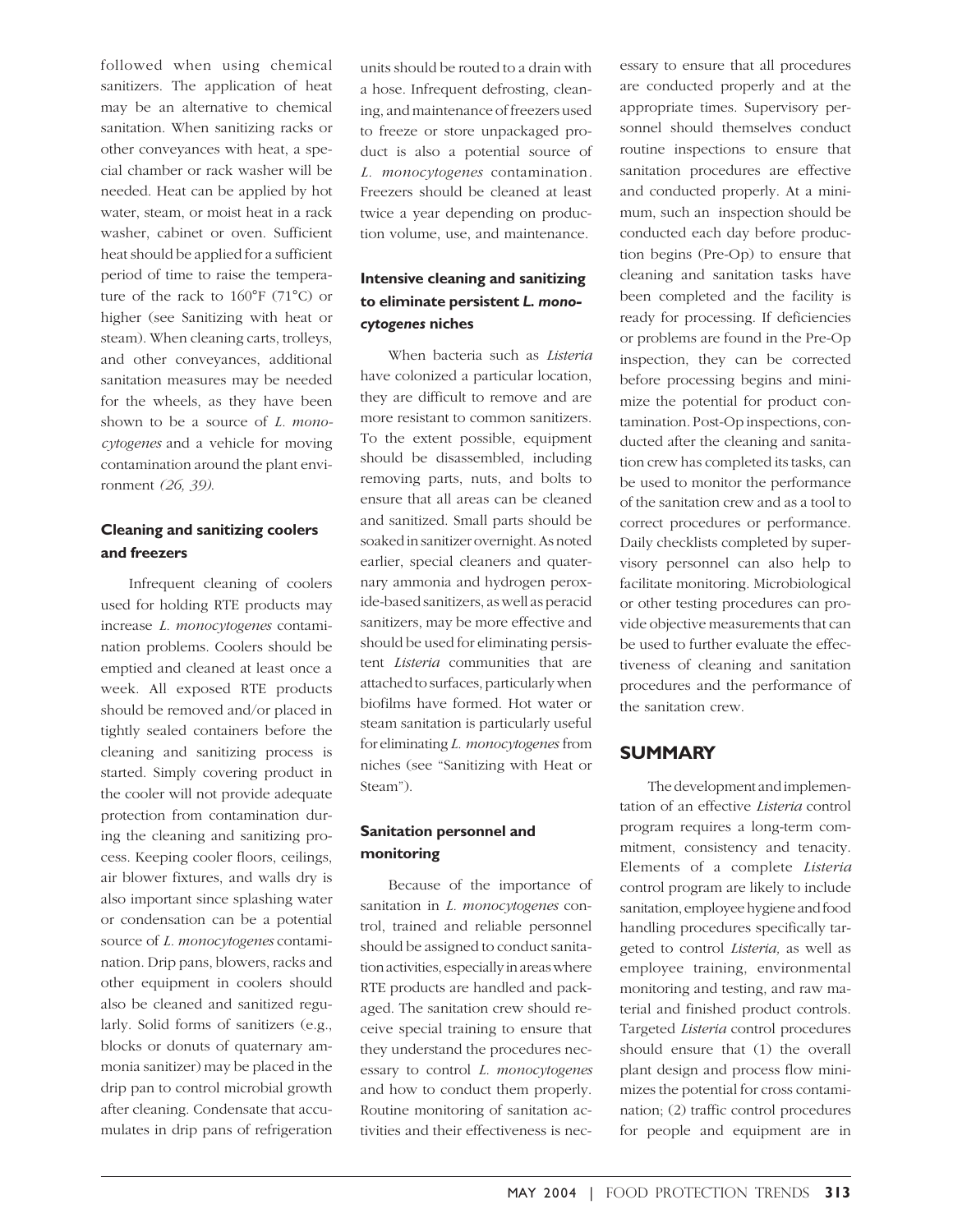followed when using chemical sanitizers. The application of heat may be an alternative to chemical sanitation. When sanitizing racks or other conveyances with heat, a special chamber or rack washer will be needed. Heat can be applied by hot water, steam, or moist heat in a rack washer, cabinet or oven. Sufficient heat should be applied for a sufficient period of time to raise the temperature of the rack to  $160^{\circ}F$  (71 $^{\circ}C$ ) or higher (see Sanitizing with heat or steam). When cleaning carts, trolleys, and other conveyances, additional sanitation measures may be needed for the wheels, as they have been shown to be a source of *L. monocytogenes* and a vehicle for moving contamination around the plant environment *(26, 39)*.

## **Cleaning and sanitizing coolers and freezers**

Infrequent cleaning of coolers used for holding RTE products may increase *L. monocytogenes* contamination problems. Coolers should be emptied and cleaned at least once a week. All exposed RTE products should be removed and/or placed in tightly sealed containers before the cleaning and sanitizing process is started. Simply covering product in the cooler will not provide adequate protection from contamination during the cleaning and sanitizing process. Keeping cooler floors, ceilings, air blower fixtures, and walls dry is also important since splashing water or condensation can be a potential source of *L. monocytogenes* contamination. Drip pans, blowers, racks and other equipment in coolers should also be cleaned and sanitized regularly. Solid forms of sanitizers (e.g., blocks or donuts of quaternary ammonia sanitizer) may be placed in the drip pan to control microbial growth after cleaning. Condensate that accumulates in drip pans of refrigeration

units should be routed to a drain with a hose. Infrequent defrosting, cleaning, and maintenance of freezers used to freeze or store unpackaged product is also a potential source of *L. monocytogenes* contamination*.* Freezers should be cleaned at least twice a year depending on production volume, use, and maintenance.

## **Intensive cleaning and sanitizing to eliminate persistent** *L. monocytogenes* **niches**

When bacteria such as *Listeria* have colonized a particular location, they are difficult to remove and are more resistant to common sanitizers. To the extent possible, equipment should be disassembled, including removing parts, nuts, and bolts to ensure that all areas can be cleaned and sanitized. Small parts should be soaked in sanitizer overnight. As noted earlier, special cleaners and quaternary ammonia and hydrogen peroxide-based sanitizers, as well as peracid sanitizers, may be more effective and should be used for eliminating persistent *Listeria* communities that are attached to surfaces, particularly when biofilms have formed. Hot water or steam sanitation is particularly useful for eliminating *L. monocytogenes* from niches (see "Sanitizing with Heat or Steam").

## **Sanitation personnel and monitoring**

Because of the importance of sanitation in *L. monocytogenes* control, trained and reliable personnel should be assigned to conduct sanitation activities, especially in areas where RTE products are handled and packaged. The sanitation crew should receive special training to ensure that they understand the procedures necessary to control *L. monocytogenes* and how to conduct them properly. Routine monitoring of sanitation activities and their effectiveness is necessary to ensure that all procedures are conducted properly and at the appropriate times. Supervisory personnel should themselves conduct routine inspections to ensure that sanitation procedures are effective and conducted properly. At a minimum, such an inspection should be conducted each day before production begins (Pre-Op) to ensure that cleaning and sanitation tasks have been completed and the facility is ready for processing. If deficiencies or problems are found in the Pre-Op inspection, they can be corrected before processing begins and minimize the potential for product contamination. Post-Op inspections, conducted after the cleaning and sanitation crew has completed its tasks, can be used to monitor the performance of the sanitation crew and as a tool to correct procedures or performance. Daily checklists completed by supervisory personnel can also help to facilitate monitoring. Microbiological or other testing procedures can provide objective measurements that can be used to further evaluate the effectiveness of cleaning and sanitation procedures and the performance of the sanitation crew.

# **SUMMARY**

The development and implementation of an effective *Listeria* control program requires a long-term commitment, consistency and tenacity. Elements of a complete *Listeria* control program are likely to include sanitation, employee hygiene and food handling procedures specifically targeted to control *Listeria,* as well as employee training, environmental monitoring and testing, and raw material and finished product controls. Targeted *Listeria* control procedures should ensure that (1) the overall plant design and process flow minimizes the potential for cross contamination; (2) traffic control procedures for people and equipment are in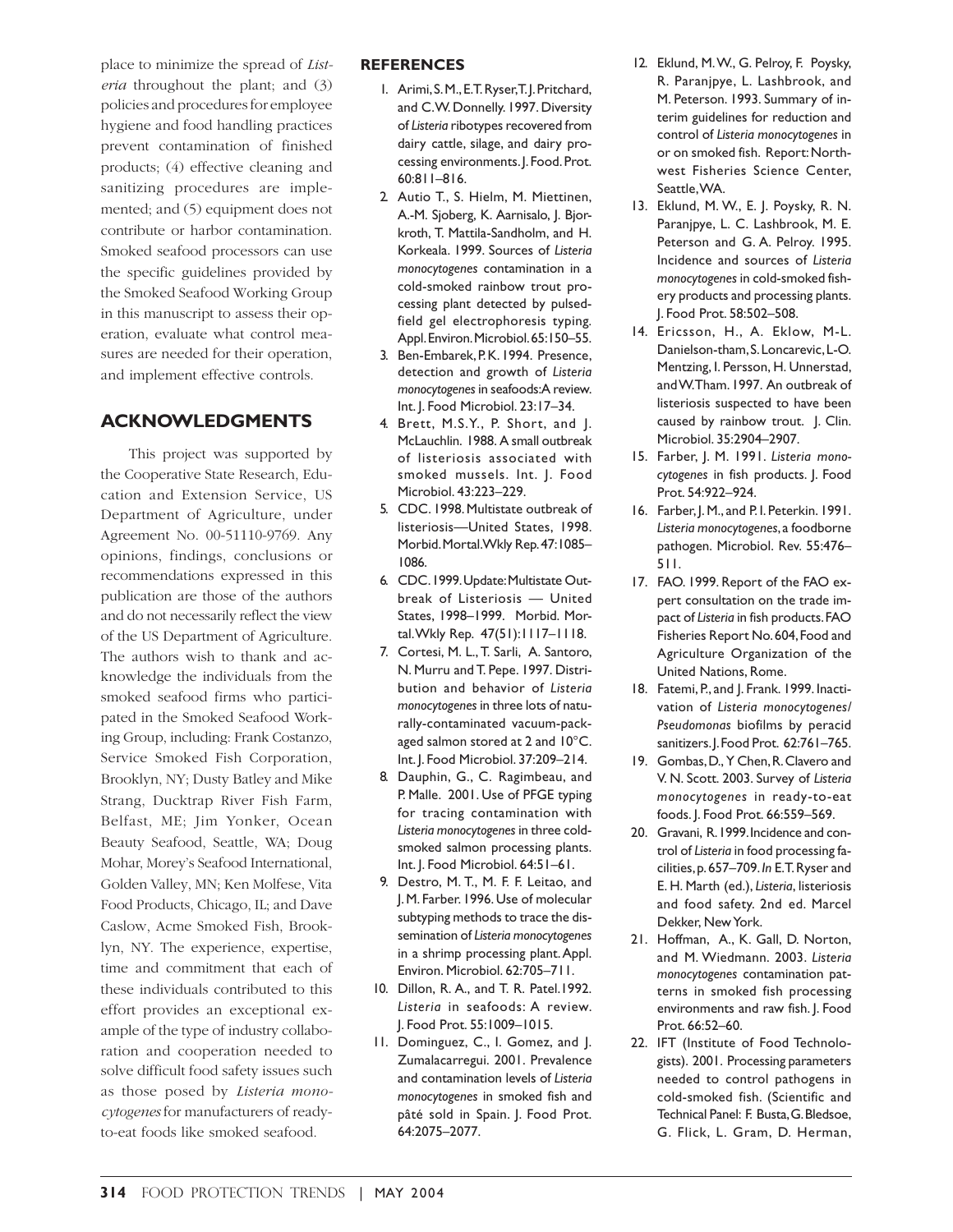place to minimize the spread of *Listeria* throughout the plant; and (3) policies and procedures for employee hygiene and food handling practices prevent contamination of finished products; (4) effective cleaning and sanitizing procedures are implemented; and (5) equipment does not contribute or harbor contamination. Smoked seafood processors can use the specific guidelines provided by the Smoked Seafood Working Group in this manuscript to assess their operation, evaluate what control measures are needed for their operation, and implement effective controls.

# **ACKNOWLEDGMENTS**

This project was supported by the Cooperative State Research, Education and Extension Service, US Department of Agriculture, under Agreement No. 00-51110-9769. Any opinions, findings, conclusions or recommendations expressed in this publication are those of the authors and do not necessarily reflect the view of the US Department of Agriculture. The authors wish to thank and acknowledge the individuals from the smoked seafood firms who participated in the Smoked Seafood Working Group, including: Frank Costanzo, Service Smoked Fish Corporation, Brooklyn, NY; Dusty Batley and Mike Strang, Ducktrap River Fish Farm, Belfast, ME; Jim Yonker, Ocean Beauty Seafood, Seattle, WA; Doug Mohar, Morey's Seafood International, Golden Valley, MN; Ken Molfese, Vita Food Products, Chicago, IL; and Dave Caslow, Acme Smoked Fish, Brooklyn, NY. The experience, expertise, time and commitment that each of these individuals contributed to this effort provides an exceptional example of the type of industry collaboration and cooperation needed to solve difficult food safety issues such as those posed by *Listeria monocytogenes* for manufacturers of readyto-eat foods like smoked seafood.

#### **REFERENCES**

- 1. Arimi, S. M., E.T. Ryser, T. J. Pritchard, and C.W. Donnelly. 1997. Diversity of *Listeria* ribotypes recovered from dairy cattle, silage, and dairy processing environments. J. Food. Prot. 60:811–816.
- 2. Autio T., S. Hielm, M. Miettinen, A.-M. Sjoberg, K. Aarnisalo, J. Bjorkroth, T. Mattila-Sandholm, and H. Korkeala. 1999. Sources of *Listeria monocytogenes* contamination in a cold-smoked rainbow trout processing plant detected by pulsedfield gel electrophoresis typing*.* Appl. Environ. Microbiol. 65:150–55.
- 3. Ben-Embarek, P.K. 1994. Presence, detection and growth of *Listeria monocytogenes* in seafoods: A review. Int. J. Food Microbiol. 23:17–34.
- 4. Brett, M.S.Y., P. Short, and J. McLauchlin. 1988. A small outbreak of listeriosis associated with smoked mussels. Int. J. Food Microbiol. 43:223–229.
- 5. CDC. 1998. Multistate outbreak of listeriosis—United States, 1998. Morbid. Mortal. Wkly Rep. 47:1085– 1086.
- 6. CDC. 1999. Update: Multistate Outbreak of Listeriosis — United States, 1998–1999. Morbid. Mortal. Wkly Rep. 47(51):1117–1118.
- 7. Cortesi, M. L., T. Sarli, A. Santoro, N. Murru and T. Pepe. 1997. Distribution and behavior of *Listeria monocytogenes* in three lots of naturally-contaminated vacuum-packaged salmon stored at 2 and 10°C. Int. J. Food Microbiol. 37:209–214.
- 8. Dauphin, G., C. Ragimbeau, and P. Malle. 2001. Use of PFGE typing for tracing contamination with *Listeria monocytogenes* in three coldsmoked salmon processing plants. Int. J. Food Microbiol. 64:51–61.
- 9. Destro, M. T., M. F. F. Leitao, and J. M. Farber. 1996. Use of molecular subtyping methods to trace the dissemination of *Listeria monocytogenes* in a shrimp processing plant. Appl. Environ. Microbiol. 62:705–711.
- 10. Dillon, R. A., and T. R. Patel.1992. *Listeria* in seafoods: A review. J. Food Prot. 55:1009–1015.
- 11. Dominguez, C., I. Gomez, and J. Zumalacarregui. 2001. Prevalence and contamination levels of *Listeria monocytogenes* in smoked fish and pâté sold in Spain. J. Food Prot. 64:2075–2077.
- 12. Eklund, M. W., G. Pelroy, F. Poysky, R. Paranjpye, L. Lashbrook, and M. Peterson. 1993. Summary of interim guidelines for reduction and control of *Listeria monocytogenes* in or on smoked fish. Report: Northwest Fisheries Science Center, Seattle, WA.
- 13. Eklund, M. W., E. J. Poysky, R. N. Paranjpye, L. C. Lashbrook, M. E. Peterson and G. A. Pelroy. 1995. Incidence and sources of *Listeria monocytogenes* in cold-smoked fishery products and processing plants. J. Food Prot. 58:502–508.
- 14. Ericsson, H., A. Eklow, M-L. Danielson-tham, S. Loncarevic, L-O. Mentzing, I. Persson, H. Unnerstad, and W. Tham. 1997. An outbreak of listeriosis suspected to have been caused by rainbow trout. J. Clin. Microbiol. 35:2904–2907.
- 15. Farber, J. M. 1991. *Listeria monocytogenes* in fish products. J. Food Prot. 54:922–924.
- 16. Farber, J. M., and P. I. Peterkin. 1991. *Listeria monocytogenes*, a foodborne pathogen. Microbiol. Rev. 55:476– 511.
- 17. FAO. 1999. Report of the FAO expert consultation on the trade impact of *Listeria* in fish products. FAO Fisheries Report No. 604, Food and Agriculture Organization of the United Nations, Rome.
- 18. Fatemi, P., and J. Frank. 1999. Inactivation of *Listeria monocytogenes/ Pseudomonas* biofilms by peracid sanitizers. J. Food Prot. 62:761-765.
- 19. Gombas, D., Y Chen, R. Clavero and V. N. Scott. 2003. Survey of *Listeria monocytogenes* in ready-to-eat foods. J. Food Prot. 66:559–569.
- 20. Gravani, R. 1999. Incidence and control of *Listeria* in food processing facilities, p. 657–709. *In* E.T. Ryser and E. H. Marth (ed.), *Listeria*, listeriosis and food safety. 2nd ed. Marcel Dekker, New York.
- 21. Hoffman, A., K. Gall, D. Norton, and M. Wiedmann. 2003. *Listeria monocytogenes* contamination patterns in smoked fish processing environments and raw fish. J. Food Prot. 66:52–60.
- 22. IFT (Institute of Food Technologists). 2001. Processing parameters needed to control pathogens in cold-smoked fish. (Scientific and Technical Panel: F. Busta, G. Bledsoe, G. Flick, L. Gram, D. Herman,